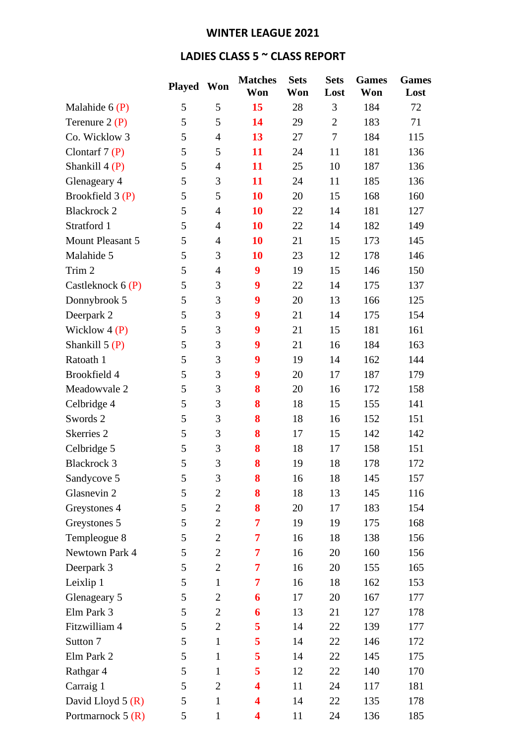## **WINTER LEAGUE 2021**

## **LADIES CLASS 5 ~ CLASS REPORT**

|                       | <b>Played</b> | Won            | <b>Matches</b><br>Won | <b>Sets</b><br>Won | <b>Sets</b><br>Lost | <b>Games</b><br>Won | <b>Games</b><br>Lost |
|-----------------------|---------------|----------------|-----------------------|--------------------|---------------------|---------------------|----------------------|
|                       |               |                |                       |                    |                     |                     |                      |
| Malahide $6(P)$       | 5             | 5              | 15                    | 28                 | 3                   | 184                 | 72                   |
| Terenure $2(P)$       | 5             | 5              | 14                    | 29                 | $\overline{2}$      | 183                 | 71                   |
| Co. Wicklow 3         | 5             | $\overline{4}$ | 13                    | 27                 | 7                   | 184                 | 115                  |
| Clontarf $7(P)$       | 5             | 5              | 11                    | 24                 | 11                  | 181                 | 136                  |
| Shankill $4(P)$       | 5             | $\overline{4}$ | 11                    | 25                 | 10                  | 187                 | 136                  |
| Glenageary 4          | 5             | 3              | 11                    | 24                 | 11                  | 185                 | 136                  |
| Brookfield 3 (P)      | 5             | 5              | 10                    | 20                 | 15                  | 168                 | 160                  |
| <b>Blackrock 2</b>    | 5             | $\overline{4}$ | 10                    | 22                 | 14                  | 181                 | 127                  |
| Stratford 1           | 5             | $\overline{4}$ | 10                    | 22                 | 14                  | 182                 | 149                  |
| Mount Pleasant 5      | 5             | $\overline{4}$ | 10                    | 21                 | 15                  | 173                 | 145                  |
| Malahide 5            | 5             | 3              | 10                    | 23                 | 12                  | 178                 | 146                  |
| Trim 2                | 5             | $\overline{4}$ | 9                     | 19                 | 15                  | 146                 | 150                  |
| Castleknock $6(P)$    | 5             | 3              | 9                     | 22                 | 14                  | 175                 | 137                  |
| Donnybrook 5          | 5             | 3              | 9                     | 20                 | 13                  | 166                 | 125                  |
| Deerpark 2            | 5             | 3              | 9                     | 21                 | 14                  | 175                 | 154                  |
| Wicklow $4(P)$        | 5             | 3              | 9                     | 21                 | 15                  | 181                 | 161                  |
| Shankill $5(P)$       | 5             | 3              | 9                     | 21                 | 16                  | 184                 | 163                  |
| Ratoath 1             | 5             | 3              | 9                     | 19                 | 14                  | 162                 | 144                  |
| Brookfield 4          | 5             | 3              | 9                     | 20                 | 17                  | 187                 | 179                  |
| Meadowyale 2          | 5             | 3              | 8                     | 20                 | 16                  | 172                 | 158                  |
| Celbridge 4           | 5             | 3              | 8                     | 18                 | 15                  | 155                 | 141                  |
| Swords 2              | 5             | 3              | 8                     | 18                 | 16                  | 152                 | 151                  |
| Skerries <sub>2</sub> | 5             | 3              | 8                     | 17                 | 15                  | 142                 | 142                  |
| Celbridge 5           | 5             | 3              | 8                     | 18                 | 17                  | 158                 | 151                  |
| <b>Blackrock 3</b>    | 5             | 3              | 8                     | 19                 | 18                  | 178                 | 172                  |
| Sandycove 5           | 5             | 3              | 8                     | 16                 | 18                  | 145                 | 157                  |
| Glasnevin 2           | 5             | $\overline{2}$ | 8                     | 18                 | 13                  | 145                 | 116                  |
| Greystones 4          | 5             | $\overline{2}$ | 8                     | 20                 | 17                  | 183                 | 154                  |
| Greystones 5          | 5             | $\overline{2}$ | 7                     | 19                 | 19                  | 175                 | 168                  |
| Templeogue 8          | 5             | $\overline{2}$ | 7                     | 16                 | 18                  | 138                 | 156                  |
| Newtown Park 4        | 5             | $\mathbf{2}$   | 7                     | 16                 | 20                  | 160                 | 156                  |
| Deerpark 3            | 5             | $\overline{2}$ | 7                     | 16                 | 20                  | 155                 | 165                  |
| Leixlip 1             | 5             | $\mathbf{1}$   | 7                     | 16                 | 18                  | 162                 | 153                  |
| Glenageary 5          | 5             | 2              | 6                     | 17                 | 20                  | 167                 | 177                  |
| Elm Park 3            | 5             | $\overline{2}$ | 6                     | 13                 | 21                  | 127                 | 178                  |
| Fitzwilliam 4         | 5             | $\overline{2}$ | 5                     | 14                 | 22                  | 139                 | 177                  |
| Sutton 7              | 5             | $\mathbf{1}$   | 5                     | 14                 | 22                  | 146                 | 172                  |
| Elm Park 2            | 5             | $\mathbf{1}$   | 5                     | 14                 | 22                  | 145                 | 175                  |
| Rathgar 4             | 5             | $\mathbf{1}$   | 5                     | 12                 | 22                  | 140                 | 170                  |
| Carraig 1             | 5             | $\overline{2}$ | 4                     | 11                 | 24                  | 117                 | 181                  |
| David Lloyd $5(R)$    | 5             | $\mathbf{1}$   | 4                     | 14                 | 22                  | 135                 | 178                  |
| Portmarnock $5(R)$    | 5             | $\mathbf{1}$   | 4                     | 11                 | 24                  | 136                 | 185                  |